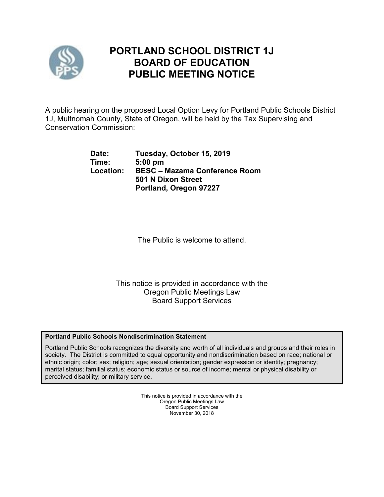

# **PORTLAND SCHOOL DISTRICT 1J BOARD OF EDUCATION PUBLIC MEETING NOTICE**

A public hearing on the proposed Local Option Levy for Portland Public Schools District 1J, Multnomah County, State of Oregon, will be held by the Tax Supervising and Conservation Commission:

| Date:     | Tuesday, October 15, 2019            |
|-----------|--------------------------------------|
| Time:     | $5:00$ pm                            |
| Location: | <b>BESC - Mazama Conference Room</b> |
|           | 501 N Dixon Street                   |
|           | Portland, Oregon 97227               |

The Public is welcome to attend.

This notice is provided in accordance with the Oregon Public Meetings Law Board Support Services

## **Portland Public Schools Nondiscrimination Statement**

Portland Public Schools recognizes the diversity and worth of all individuals and groups and their roles in society. The District is committed to equal opportunity and nondiscrimination based on race; national or ethnic origin; color; sex; religion; age; sexual orientation; gender expression or identity; pregnancy; marital status; familial status; economic status or source of income; mental or physical disability or perceived disability; or military service.

> This notice is provided in accordance with the Oregon Public Meetings Law Board Support Services November 30, 2018